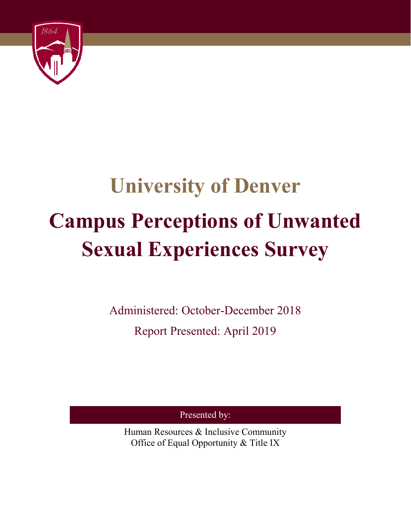

# **University of Denver Campus Perceptions of Unwanted Sexual Experiences Survey**

Administered: October-December 2018 Report Presented: April 2019

Presented by:

Human Resources & Inclusive Community Office of Equal Opportunity & Title IX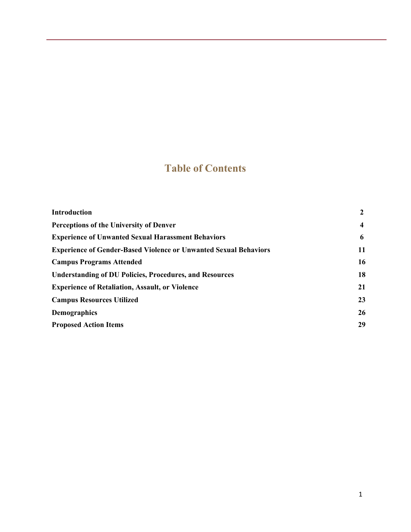# **Table of Contents**

| <b>Introduction</b>                                                     | $\mathbf{2}$            |
|-------------------------------------------------------------------------|-------------------------|
| Perceptions of the University of Denver                                 | $\overline{\mathbf{4}}$ |
| <b>Experience of Unwanted Sexual Harassment Behaviors</b>               | 6                       |
| <b>Experience of Gender-Based Violence or Unwanted Sexual Behaviors</b> | 11                      |
| <b>Campus Programs Attended</b>                                         | 16                      |
| <b>Understanding of DU Policies, Procedures, and Resources</b>          | 18                      |
| <b>Experience of Retaliation, Assault, or Violence</b>                  | 21                      |
| <b>Campus Resources Utilized</b>                                        | 23                      |
| <b>Demographics</b>                                                     | 26                      |
| <b>Proposed Action Items</b>                                            | 29                      |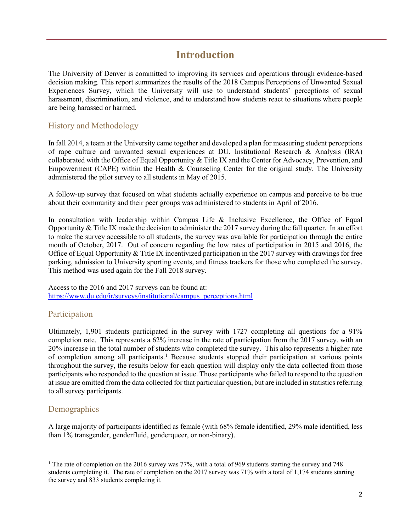# **Introduction**

The University of Denver is committed to improving its services and operations through evidence-based decision making. This report summarizes the results of the 2018 Campus Perceptions of Unwanted Sexual Experiences Survey, which the University will use to understand students' perceptions of sexual harassment, discrimination, and violence, and to understand how students react to situations where people are being harassed or harmed.

# History and Methodology

In fall 2014, a team at the University came together and developed a plan for measuring student perceptions of rape culture and unwanted sexual experiences at DU. Institutional Research & Analysis (IRA) collaborated with the Office of Equal Opportunity & Title IX and the Center for Advocacy, Prevention, and Empowerment (CAPE) within the Health & Counseling Center for the original study. The University administered the pilot survey to all students in May of 2015.

A follow-up survey that focused on what students actually experience on campus and perceive to be true about their community and their peer groups was administered to students in April of 2016.

In consultation with leadership within Campus Life & Inclusive Excellence, the Office of Equal Opportunity & Title IX made the decision to administer the 2017 survey during the fall quarter. In an effort to make the survey accessible to all students, the survey was available for participation through the entire month of October, 2017. Out of concern regarding the low rates of participation in 2015 and 2016, the Office of Equal Opportunity & Title IX incentivized participation in the 2017 survey with drawings for free parking, admission to University sporting events, and fitness trackers for those who completed the survey. This method was used again for the Fall 2018 survey.

Access to the 2016 and 2017 surveys can be found at: [https://www.du.edu/ir/surveys/institutional/campus\\_perceptions.html](https://www.du.edu/ir/surveys/institutional/campus_perceptions.html)

## Participation

Ultimately, 1,901 students participated in the survey with 1727 completing all questions for a 91% completion rate. This represents a 62% increase in the rate of participation from the 2017 survey, with an 20% increase in the total number of students who completed the survey. This also represents a higher rate of completion among all participants. [1](#page-2-0) Because students stopped their participation at various points throughout the survey, the results below for each question will display only the data collected from those participants who responded to the question at issue. Those participants who failed to respond to the question at issue are omitted from the data collected for that particular question, but are included in statistics referring to all survey participants.

# **Demographics**

l

A large majority of participants identified as female (with 68% female identified, 29% male identified, less than 1% transgender, genderfluid, genderqueer, or non-binary).

<span id="page-2-0"></span><sup>&</sup>lt;sup>1</sup> The rate of completion on the 2016 survey was 77%, with a total of 969 students starting the survey and 748 students completing it. The rate of completion on the 2017 survey was 71% with a total of 1,174 students starting the survey and 833 students completing it.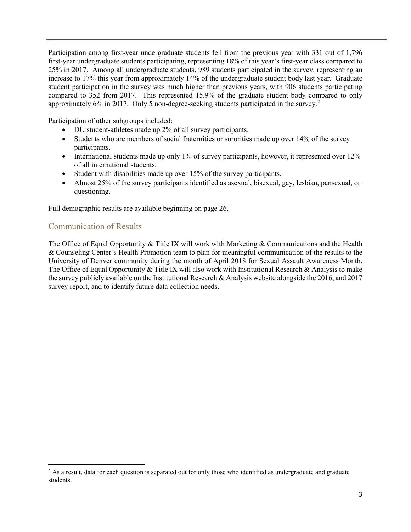Participation among first-year undergraduate students fell from the previous year with 331 out of 1,796 first-year undergraduate students participating, representing 18% of this year's first-year class compared to 25% in 2017. Among all undergraduate students, 989 students participated in the survey, representing an increase to 17% this year from approximately 14% of the undergraduate student body last year. Graduate student participation in the survey was much higher than previous years, with 906 students participating compared to 352 from 2017. This represented 15.9% of the graduate student body compared to only approximately 6% in [2](#page-3-0)017. Only 5 non-degree-seeking students participated in the survey.<sup>2</sup>

Participation of other subgroups included:

- DU student-athletes made up 2% of all survey participants.
- Students who are members of social fraternities or sororities made up over 14% of the survey participants.
- International students made up only 1% of survey participants, however, it represented over 12% of all international students.
- Student with disabilities made up over 15% of the survey participants.
- Almost 25% of the survey participants identified as asexual, bisexual, gay, lesbian, pansexual, or questioning.

Full demographic results are available beginning on page 26.

# Communication of Results

l

The Office of Equal Opportunity & Title IX will work with Marketing & Communications and the Health & Counseling Center's Health Promotion team to plan for meaningful communication of the results to the University of Denver community during the month of April 2018 for Sexual Assault Awareness Month. The Office of Equal Opportunity & Title IX will also work with Institutional Research & Analysis to make the survey publicly available on the Institutional Research & Analysis website alongside the 2016, and 2017 survey report, and to identify future data collection needs.

<span id="page-3-0"></span> $2$  As a result, data for each question is separated out for only those who identified as undergraduate and graduate students.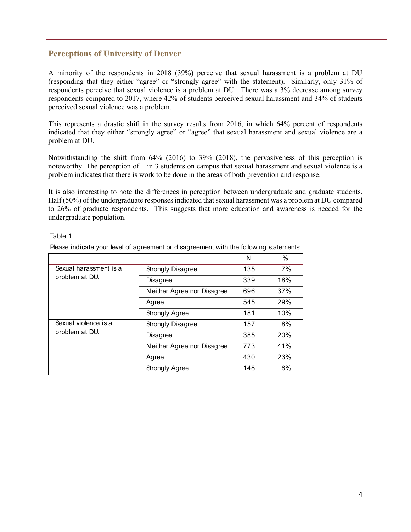# **Perceptions of University of Denver**

A minority of the respondents in 2018 (39%) perceive that sexual harassment is a problem at DU (responding that they either "agree" or "strongly agree" with the statement). Similarly, only 31% of respondents perceive that sexual violence is a problem at DU. There was a 3% decrease among survey respondents compared to 2017, where 42% of students perceived sexual harassment and 34% of students perceived sexual violence was a problem.

This represents a drastic shift in the survey results from 2016, in which 64% percent of respondents indicated that they either "strongly agree" or "agree" that sexual harassment and sexual violence are a problem at DU.

Notwithstanding the shift from 64% (2016) to 39% (2018), the pervasiveness of this perception is noteworthy. The perception of 1 in 3 students on campus that sexual harassment and sexual violence is a problem indicates that there is work to be done in the areas of both prevention and response.

It is also interesting to note the differences in perception between undergraduate and graduate students. Half (50%) of the undergraduate responses indicated that sexual harassment was a problem at DU compared to 26% of graduate respondents. This suggests that more education and awareness is needed for the undergraduate population.

#### Table 1

Please indicate your level of agreement or disagreement with the following statements:

|                                          |                            | N   | $\%$ |
|------------------------------------------|----------------------------|-----|------|
| Sexual harassment is a<br>problem at DU. | Strongly Disagree          | 135 | 7%   |
|                                          | Disagree                   | 339 | 18%  |
|                                          | Neither Agree nor Disagree | 696 | 37%  |
|                                          | Agree                      | 545 | 29%  |
|                                          | Strongly Agree             | 181 | 10%  |
| Sexual violence is a                     | Strongly Disagree          | 157 | 8%   |
| problem at DU.                           | Disagree                   | 385 | 20%  |
|                                          | Neither Agree nor Disagree | 773 | 41%  |
|                                          | Agree                      | 430 | 23%  |
|                                          | Strongly Agree             | 148 | 8%   |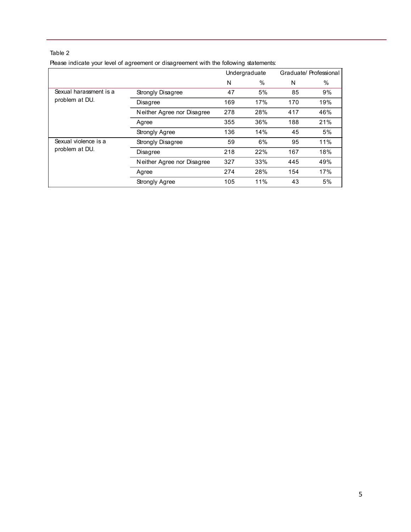| Please indicate your level of agreement or disagreement with the following statements: |  |  |  |
|----------------------------------------------------------------------------------------|--|--|--|
|                                                                                        |  |  |  |
|                                                                                        |  |  |  |
|                                                                                        |  |  |  |

|                        | Undergraduate              |     |     |     | Graduate/ Professional |
|------------------------|----------------------------|-----|-----|-----|------------------------|
|                        |                            | N   | %   | N   | $\%$                   |
| Sexual harassment is a | Strongly Disagree          | 47  | 5%  | 85  | 9%                     |
| problem at DU.         | Disagree                   | 169 | 17% | 170 | 19%                    |
|                        | Neither Agree nor Disagree | 278 | 28% | 417 | 46%                    |
|                        | Agree                      | 355 | 36% | 188 | 21%                    |
|                        | Strongly Agree             | 136 | 14% | 45  | 5%                     |
| Sexual violence is a   | Strongly Disagree          | 59  | 6%  | 95  | 11%                    |
| problem at DU.         | Disagree                   | 218 | 22% | 167 | 18%                    |
|                        | Neither Agree nor Disagree | 327 | 33% | 445 | 49%                    |
|                        | Agree                      | 274 | 28% | 154 | 17%                    |
|                        | Strongly Agree             | 105 | 11% | 43  | 5%                     |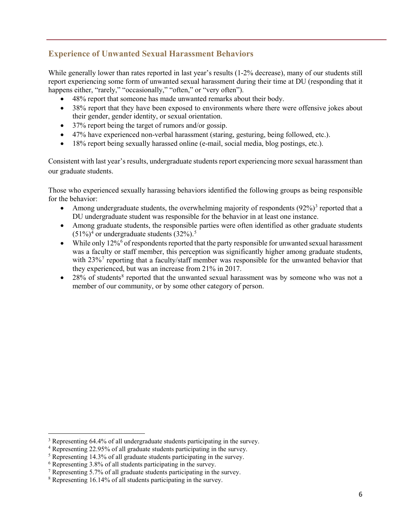# **Experience of Unwanted Sexual Harassment Behaviors**

While generally lower than rates reported in last year's results  $(1-2)$ % decrease), many of our students still report experiencing some form of unwanted sexual harassment during their time at DU (responding that it happens either, "rarely," "occasionally," "often," or "very often").

- 48% report that someone has made unwanted remarks about their body.
- 38% report that they have been exposed to environments where there were offensive jokes about their gender, gender identity, or sexual orientation.
- 37% report being the target of rumors and/or gossip.
- 47% have experienced non-verbal harassment (staring, gesturing, being followed, etc.).
- 18% report being sexually harassed online (e-mail, social media, blog postings, etc.).

Consistent with last year's results, undergraduate students report experiencing more sexual harassment than our graduate students.

Those who experienced sexually harassing behaviors identified the following groups as being responsible for the behavior:

- Among undergraduate students, the overwhelming majority of respondents  $(92\%)^3$  $(92\%)^3$  reported that a DU undergraduate student was responsible for the behavior in at least one instance.
- Among graduate students, the responsible parties were often identified as other graduate students  $(51\%)^4$  $(51\%)^4$  or undergraduate students  $(32\%)$ .<sup>[5](#page-6-2)</sup>
- While only  $12\%$ <sup>[6](#page-6-3)</sup> of respondents reported that the party responsible for unwanted sexual harassment was a faculty or staff member, this perception was significantly higher among graduate students, with  $23\%$ <sup>[7](#page-6-4)</sup> reporting that a faculty/staff member was responsible for the unwanted behavior that they experienced, but was an increase from 21% in 2017.
- $28\%$  $28\%$  $28\%$  of students<sup>8</sup> reported that the unwanted sexual harassment was by someone who was not a member of our community, or by some other category of person.

 $\overline{a}$ 

<span id="page-6-0"></span><sup>&</sup>lt;sup>3</sup> Representing 64.4% of all undergraduate students participating in the survey.

<span id="page-6-1"></span><sup>4</sup> Representing 22.95% of all graduate students participating in the survey.

<span id="page-6-2"></span><sup>&</sup>lt;sup>5</sup> Representing 14.3% of all graduate students participating in the survey.

<span id="page-6-3"></span><sup>6</sup> Representing 3.8% of all students participating in the survey.

<span id="page-6-4"></span> $7$  Representing 5.7% of all graduate students participating in the survey.

<span id="page-6-5"></span><sup>8</sup> Representing 16.14% of all students participating in the survey.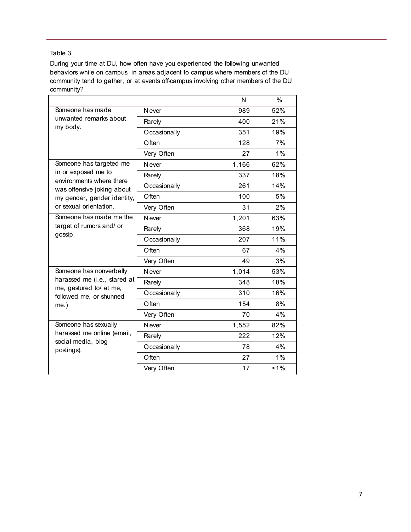During your time at DU, how often have you experienced the following unwanted behaviors while on campus, in areas adjacent to campus where members of the DU community tend to gather, or at events off-campus involving other members of the DU community?

|                                                         |               | N     | $\frac{0}{0}$ |
|---------------------------------------------------------|---------------|-------|---------------|
| Someone has made                                        | N ever        | 989   | 52%           |
| unwanted remarks about<br>my body.                      | Rarely        | 400   | 21%           |
|                                                         | Occasionally  | 351   | 19%           |
|                                                         | $O$ ften      | 128   | 7%            |
|                                                         | Very Often    | 27    | 1%            |
| Someone has targeted me                                 | N ever        | 1,166 | 62%           |
| in or exposed me to<br>environments where there         | Rarely        | 337   | 18%           |
| was offensive joking about                              | Occasionally  | 261   | 14%           |
| my gender, gender identity,                             | Often         | 100   | 5%            |
| or sexual orientation.                                  | Very Often    | 31    | 2%            |
| Someone has made me the                                 | <b>N</b> ever | 1,201 | 63%           |
| target of rumors and/ or<br>gossip.                     | Rarely        | 368   | 19%           |
|                                                         | Occasionally  | 207   | 11%           |
|                                                         | Often         | 67    | 4%            |
|                                                         | Very Often    | 49    | 3%            |
| Someone has nonverbally                                 | <b>N</b> ever | 1,014 | 53%           |
| harassed me (i.e., stared at<br>me, gestured to/ at me, | Rarely        | 348   | 18%           |
| followed me, or shunned                                 | Occasionally  | 310   | 16%           |
| $me.$ )                                                 | Often         | 154   | 8%            |
|                                                         | Very Often    | 70    | 4%            |
| Someone has sexually                                    | <b>N</b> ever | 1,552 | 82%           |
| harassed me online (email,                              | Rarely        | 222   | 12%           |
| social media, blog<br>postings).                        | Occasionally  | 78    | 4%            |
|                                                         | Often         | 27    | 1%            |
|                                                         | Very Often    | 17    | 1%            |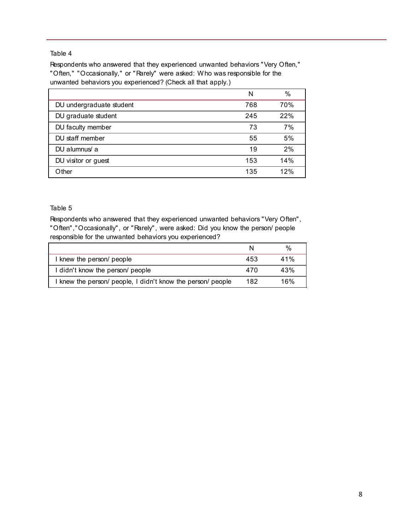Respondents who answered that they experienced unwanted behaviors "Very Often," "Often," "Occasionally," or "Rarely" were asked: Who was responsible for the unwanted behaviors you experienced? (Check all that apply.)

|                          | N   | $\%$ |
|--------------------------|-----|------|
| DU undergraduate student | 768 | 70%  |
| DU graduate student      | 245 | 22%  |
| DU faculty member        | 73  | 7%   |
| DU staff member          | 55  | 5%   |
| DU alumnus/ a            | 19  | 2%   |
| DU visitor or guest      | 153 | 14%  |
| Other                    | 135 | 12%  |

#### Table 5

Respondents who answered that they experienced unwanted behaviors "Very Often", "Often","Occasionally", or "Rarely", were asked: Did you know the person/ people responsible for the unwanted behaviors you experienced?

|                                                             |     | %   |
|-------------------------------------------------------------|-----|-----|
| I knew the person/ people                                   | 453 | 41% |
| I didn't know the person/ people                            | 470 | 43% |
| I knew the person/ people, I didn't know the person/ people | 182 | 16% |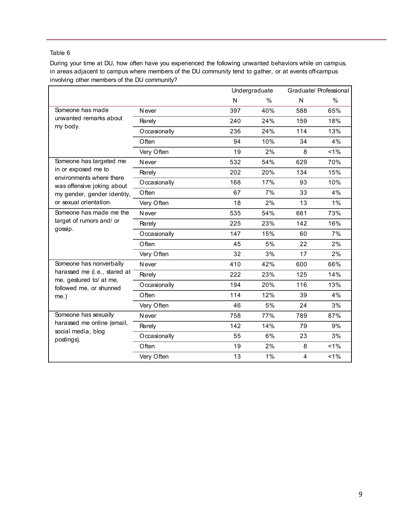During your time at DU, how often have you experienced the following unwanted behaviors while on campus, in areas adjacent to campus where members of the DU community tend to gather, or at events off-campus involving other members of the DU community?

|                                                         |               |     | Undergraduate | Graduate/ Professional |       |
|---------------------------------------------------------|---------------|-----|---------------|------------------------|-------|
|                                                         |               | N   | $\frac{0}{0}$ | N                      | $\%$  |
| Someone has made                                        | <b>N</b> ever | 397 | 40%           | 588                    | 65%   |
| unwanted remarks about                                  | Rarely        | 240 | 24%           | 159                    | 18%   |
| my body.                                                | Occasionally  | 236 | 24%           | 114                    | 13%   |
|                                                         | Often         | 94  | 10%           | 34                     | 4%    |
|                                                         | Very Often    | 19  | 2%            | 8                      | $1\%$ |
| Someone has targeted me                                 | <b>N</b> ever | 532 | 54%           | 629                    | 70%   |
| in or exposed me to<br>environments where there         | Rarely        | 202 | 20%           | 134                    | 15%   |
| was offensive joking about                              | Occasionally  | 168 | 17%           | 93                     | 10%   |
| my gender, gender identity,                             | Often         | 67  | 7%            | 33                     | 4%    |
| or sexual orientation.                                  | Very Often    | 18  | 2%            | 13                     | 1%    |
| Someone has made me the                                 | <b>N</b> ever | 535 | 54%           | 661                    | 73%   |
| target of rumors and/ or                                | Rarely        | 225 | 23%           | 142                    | 16%   |
| gossip.                                                 | Occasionally  | 147 | 15%           | 60                     | 7%    |
|                                                         | Often         | 45  | 5%            | 22                     | 2%    |
|                                                         | Very Often    | 32  | 3%            | 17                     | 2%    |
| Someone has nonverbally                                 | <b>N</b> ever | 410 | 42%           | 600                    | 66%   |
| harassed me (i.e., stared at<br>me, gestured to/ at me, | Rarely        | 222 | 23%           | 125                    | 14%   |
| followed me, or shunned                                 | Occasionally  | 194 | 20%           | 116                    | 13%   |
| $me.$ )                                                 | Often         | 114 | 12%           | 39                     | 4%    |
|                                                         | Very Often    | 46  | 5%            | 24                     | 3%    |
| Someone has sexually                                    | <b>N</b> ever | 758 | 77%           | 789                    | 87%   |
| harassed me online (email,<br>social media, blog        | Rarely        | 142 | 14%           | 79                     | 9%    |
| postings).                                              | Occasionally  | 55  | 6%            | 23                     | 3%    |
|                                                         | Often         | 19  | 2%            | 8                      | 1%    |
|                                                         | Very Often    | 13  | 1%            | 4                      | 1%    |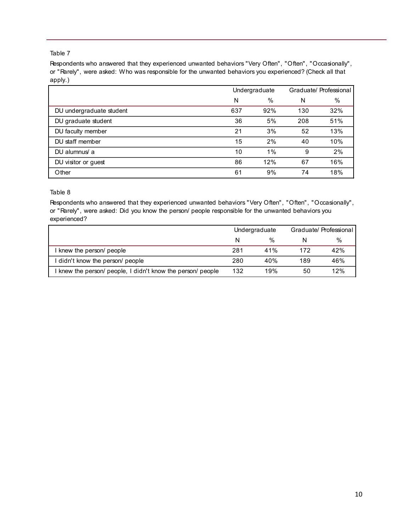Respondents who answered that they experienced unwanted behaviors "Very Often", "Often", "Occasionally", or "Rarely", were asked: Who was responsible for the unwanted behaviors you experienced? (Check all that apply.)

|                          |     | Undergraduate |     | Graduate/ Professional |
|--------------------------|-----|---------------|-----|------------------------|
|                          | N   | $\%$          | N   | %                      |
| DU undergraduate student | 637 | 92%           | 130 | 32%                    |
| DU graduate student      | 36  | 5%            | 208 | 51%                    |
| DU faculty member        | 21  | 3%            | 52  | 13%                    |
| DU staff member          | 15  | 2%            | 40  | 10%                    |
| DU alumnus/ a            | 10  | 1%            | 9   | 2%                     |
| DU visitor or guest      | 86  | 12%           | 67  | 16%                    |
| Other                    | 61  | 9%            | 74  | 18%                    |

#### Table 8

Respondents who answered that they experienced unwanted behaviors "Very Often", "Often", "Occasionally", or "Rarely", were asked: Did you know the person/ people responsible for the unwanted behaviors you experienced?

|                                                           | Undergraduate |      | Graduate/ Professional |     |
|-----------------------------------------------------------|---------------|------|------------------------|-----|
|                                                           | N             | $\%$ |                        | %   |
| I knew the person/ people                                 | 281           | 41%  | 172                    | 42% |
| I didn't know the person/ people                          | 280           | 40%  | 189                    | 46% |
| I knew the person/people, I didn't know the person/people | 132           | 19%  | 50                     | 12% |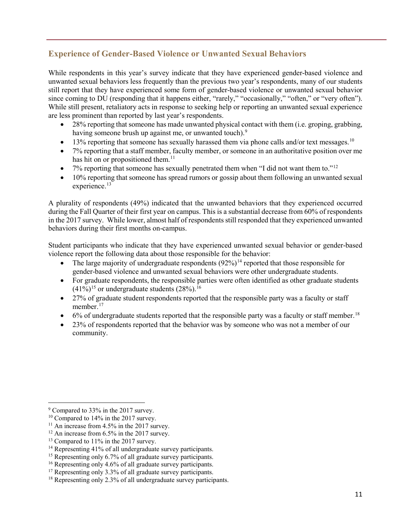# **Experience of Gender-Based Violence or Unwanted Sexual Behaviors**

While respondents in this year's survey indicate that they have experienced gender-based violence and unwanted sexual behaviors less frequently than the previous two year's respondents, many of our students still report that they have experienced some form of gender-based violence or unwanted sexual behavior since coming to DU (responding that it happens either, "rarely," "occasionally," "often," or "very often"). While still present, retaliatory acts in response to seeking help or reporting an unwanted sexual experience are less prominent than reported by last year's respondents.

- $\bullet$  28% reporting that someone has made unwanted physical contact with them (i.e. groping, grabbing, having someone brush up against me, or unwanted touch).<sup>[9](#page-11-0)</sup>
- 13% reporting that someone has sexually harassed them via phone calls and/or text messages.<sup>[10](#page-11-1)</sup>
- 7% reporting that a staff member, faculty member, or someone in an authoritative position over me has hit on or propositioned them.<sup>[11](#page-11-2)</sup>
- 7% reporting that someone has sexually penetrated them when "I did not want them to."<sup>[12](#page-11-3)</sup>
- 10% reporting that someone has spread rumors or gossip about them following an unwanted sexual experience.<sup>[13](#page-11-4)</sup>

A plurality of respondents (49%) indicated that the unwanted behaviors that they experienced occurred during the Fall Quarter of their first year on campus. This is a substantial decrease from 60% of respondents in the 2017 survey. While lower, almost half of respondents still responded that they experienced unwanted behaviors during their first months on-campus.

Student participants who indicate that they have experienced unwanted sexual behavior or gender-based violence report the following data about those responsible for the behavior:

- The large majority of undergraduate respondents  $(92\%)^{14}$  $(92\%)^{14}$  $(92\%)^{14}$  reported that those responsible for gender-based violence and unwanted sexual behaviors were other undergraduate students.
- For graduate respondents, the responsible parties were often identified as other graduate students  $(41\%)^{15}$  $(41\%)^{15}$  $(41\%)^{15}$  or undergraduate students  $(28\%)^{16}$  $(28\%)^{16}$  $(28\%)^{16}$ .
- 27% of graduate student respondents reported that the responsible party was a faculty or staff member.<sup>[17](#page-11-8)</sup>
- 6% of undergraduate students reported that the responsible party was a faculty or staff member.<sup>[18](#page-11-9)</sup>
- 23% of respondents reported that the behavior was by someone who was not a member of our community.

l

<span id="page-11-0"></span><sup>&</sup>lt;sup>9</sup> Compared to 33% in the 2017 survey.

<span id="page-11-1"></span><sup>&</sup>lt;sup>10</sup> Compared to 14% in the 2017 survey.

<span id="page-11-2"></span> $11$  An increase from 4.5% in the 2017 survey.

<span id="page-11-3"></span> $12$  An increase from 6.5% in the 2017 survey.

<span id="page-11-4"></span><sup>&</sup>lt;sup>13</sup> Compared to 11% in the 2017 survey.

<span id="page-11-5"></span><sup>&</sup>lt;sup>14</sup> Representing 41% of all undergraduate survey participants.

<span id="page-11-6"></span><sup>&</sup>lt;sup>15</sup> Representing only 6.7% of all graduate survey participants.

<span id="page-11-7"></span><sup>&</sup>lt;sup>16</sup> Representing only 4.6% of all graduate survey participants.

<span id="page-11-8"></span> $17$  Representing only 3.3% of all graduate survey participants.

<span id="page-11-9"></span><sup>&</sup>lt;sup>18</sup> Representing only 2.3% of all undergraduate survey participants.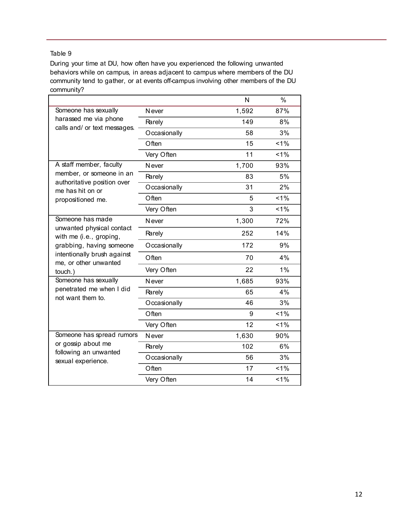During your time at DU, how often have you experienced the following unwanted behaviors while on campus, in areas adjacent to campus where members of the DU community tend to gather, or at events off-campus involving other members of the DU community?

|                                                                                                                                                              |               | N     | %     |
|--------------------------------------------------------------------------------------------------------------------------------------------------------------|---------------|-------|-------|
| Someone has sexually                                                                                                                                         | <b>N</b> ever | 1,592 | 87%   |
| harassed me via phone<br>calls and/ or text messages.                                                                                                        | Rarely        | 149   | 8%    |
|                                                                                                                                                              | Occasionally  | 58    | 3%    |
|                                                                                                                                                              | Often         | 15    | 1%    |
|                                                                                                                                                              | Very Often    | 11    | 1%    |
| A staff member, faculty                                                                                                                                      | <b>N</b> ever | 1,700 | 93%   |
| member, or someone in an<br>authoritative position over                                                                                                      | Rarely        | 83    | 5%    |
| me has hit on or                                                                                                                                             | Occasionally  | 31    | 2%    |
| propositioned me.                                                                                                                                            | Often         | 5     | 1%    |
|                                                                                                                                                              | Very Often    | 3     | 1%    |
| Someone has made<br>unwanted physical contact<br>with me (i.e., groping,<br>grabbing, having someone<br>intentionally brush against<br>me, or other unwanted | <b>Never</b>  | 1,300 | 72%   |
|                                                                                                                                                              | Rarely        | 252   | 14%   |
|                                                                                                                                                              | Occasionally  | 172   | 9%    |
|                                                                                                                                                              | Often         | 70    | 4%    |
| touch.)                                                                                                                                                      | Very Often    | 22    | 1%    |
| Someone has sexually                                                                                                                                         | <b>N</b> ever | 1,685 | 93%   |
| penetrated me when I did<br>not want them to.                                                                                                                | Rarely        | 65    | 4%    |
|                                                                                                                                                              | Occasionally  | 46    | 3%    |
|                                                                                                                                                              | Often         | 9     | $1\%$ |
|                                                                                                                                                              | Very Often    | 12    | 1%    |
| Someone has spread rumors                                                                                                                                    | <b>N</b> ever | 1,630 | 90%   |
| or gossip about me                                                                                                                                           | Rarely        | 102   | 6%    |
| following an unwanted<br>sexual experience.                                                                                                                  | Occasionally  | 56    | 3%    |
|                                                                                                                                                              | Often         | 17    | 1%    |
|                                                                                                                                                              | Very Often    | 14    | 1%    |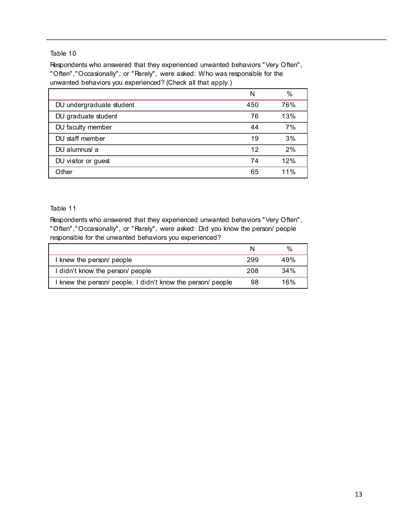Respondents who answered that they experienced unwanted behaviors "Very Often", "Often","Occasionally", or "Rarely", were asked: Who was responsible for the unwanted behaviors you experienced? (Check all that apply.)

|                          | N   | %   |
|--------------------------|-----|-----|
| DU undergraduate student | 450 | 76% |
| DU graduate student      | 76  | 13% |
| DU faculty member        | 44  | 7%  |
| DU staff member          | 19  | 3%  |
| DU alumnus/ a            | 12  | 2%  |
| DU visitor or guest      | 74  | 12% |
| Other                    | 65  | 11% |

#### Table 11

Respondents who answered that they experienced unwanted behaviors "Very Often", "Often","Occasionally", or "Rarely", were asked: Did you know the person/ people responsible for the unwanted behaviors you experienced?

|                                                             |     | $\%$ |
|-------------------------------------------------------------|-----|------|
| I knew the person/ people                                   | 299 | 49%  |
| I didn't know the person/ people                            | 208 | 34%  |
| I knew the person/ people, I didn't know the person/ people | 98  | 16%  |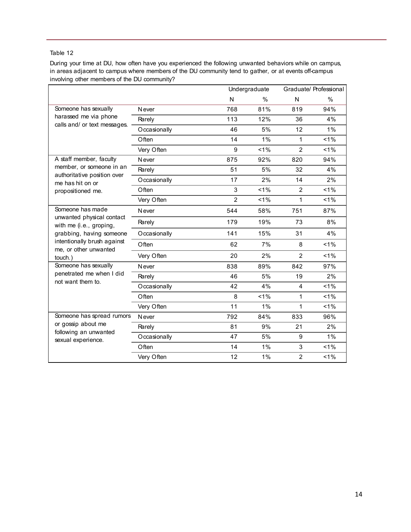During your time at DU, how often have you experienced the following unwanted behaviors while on campus, in areas adjacent to campus where members of the DU community tend to gather, or at events off-campus involving other members of the DU community?

|                                                                                                |               |                | Undergraduate |                | Graduate/ Professional |
|------------------------------------------------------------------------------------------------|---------------|----------------|---------------|----------------|------------------------|
|                                                                                                |               | N              | $\%$          | N              | $\%$                   |
| Someone has sexually                                                                           | <b>N</b> ever | 768            | 81%           | 819            | 94%                    |
| harassed me via phone                                                                          | Rarely        | 113            | 12%           | 36             | 4%                     |
| calls and/ or text messages.                                                                   | Occasionally  | 46             | 5%            | 12             | 1%                     |
|                                                                                                | Often         | 14             | 1%            | $\mathbf{1}$   | 1%                     |
|                                                                                                | Very Often    | 9              | 1%            | $\overline{2}$ | 1%                     |
| A staff member, faculty                                                                        | <b>N</b> ever | 875            | 92%           | 820            | 94%                    |
| member, or someone in an                                                                       | Rarely        | 51             | 5%            | 32             | 4%                     |
| authoritative position over<br>me has hit on or                                                | Occasionally  | 17             | 2%            | 14             | 2%                     |
| propositioned me.                                                                              | Often         | 3              | 1%            | $\overline{2}$ | 1%                     |
|                                                                                                | Very Often    | $\overline{2}$ | 1%            | $\mathbf{1}$   | 1%                     |
| Someone has made                                                                               | <b>N</b> ever | 544            | 58%           | 751            | 87%                    |
| unwanted physical contact<br>with me (i.e., groping,                                           | Rarely        | 179            | 19%           | 73             | 8%                     |
| grabbing, having someone                                                                       | Occasionally  | 141            | 15%           | 31             | 4%                     |
| intentionally brush against<br>me, or other unwanted                                           | Often         | 62             | 7%            | 8              | $< 1\%$                |
| touch.)                                                                                        | Very Often    | 20             | 2%            | $\mathcal{P}$  | $< 1\%$                |
| Someone has sexually                                                                           | <b>N</b> ever | 838            | 89%           | 842            | 97%                    |
| penetrated me when I did<br>not want them to.                                                  | Rarely        | 46             | 5%            | 19             | 2%                     |
|                                                                                                | Occasionally  | 42             | 4%            | 4              | 1%                     |
|                                                                                                | Often         | 8              | 1%            | $\mathbf{1}$   | 1%                     |
|                                                                                                | Very Often    | 11             | $1\%$         | $\mathbf{1}$   | 1%                     |
| Someone has spread rumors<br>or gossip about me<br>following an unwanted<br>sexual experience. | N ever        | 792            | 84%           | 833            | 96%                    |
|                                                                                                | Rarely        | 81             | 9%            | 21             | 2%                     |
|                                                                                                | Occasionally  | 47             | 5%            | 9              | 1%                     |
|                                                                                                | Often         | 14             | 1%            | 3              | $< 1\%$                |
|                                                                                                | Very Often    | 12             | $1\%$         | $\overline{2}$ | 1%                     |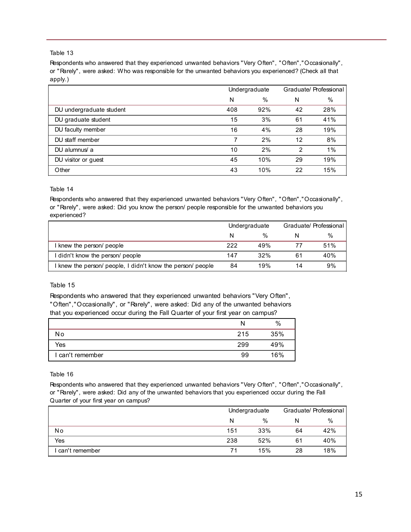Respondents who answered that they experienced unwanted behaviors "Very Often", "Often","Occasionally", or "Rarely", were asked: Who was responsible for the unwanted behaviors you experienced? (Check all that apply.)

|                          | Undergraduate |      | Graduate/ Professional |     |
|--------------------------|---------------|------|------------------------|-----|
|                          | N             | $\%$ | N                      | %   |
| DU undergraduate student | 408           | 92%  | 42                     | 28% |
| DU graduate student      | 15            | 3%   | 61                     | 41% |
| DU faculty member        | 16            | 4%   | 28                     | 19% |
| DU staff member          | 7             | 2%   | 12                     | 8%  |
| DU alumnus/ a            | 10            | 2%   | 2                      | 1%  |
| DU visitor or guest      | 45            | 10%  | 29                     | 19% |
| Other                    | 43            | 10%  | 22                     | 15% |

Table 14

Respondents who answered that they experienced unwanted behaviors "Very Often", "Often","Occasionally", or "Rarely", were asked: Did you know the person/ people responsible for the unwanted behaviors you experienced?

|                                                           | Undergraduate |     | Graduate/ Professional |               |
|-----------------------------------------------------------|---------------|-----|------------------------|---------------|
|                                                           |               | %   |                        | $\frac{0}{0}$ |
| I knew the person/ people                                 | 222           | 49% |                        | 51%           |
| I didn't know the person/ people                          | 147           | 32% | 61                     | 40%           |
| knew the person/ people, I didn't know the person/ people | 84            | 19% | 14                     | 9%            |

#### Table 15

Respondents who answered that they experienced unwanted behaviors "Very Often", "Often","Occasionally", or "Rarely", were asked: Did any of the unwanted behaviors that you experienced occur during the Fall Quarter of your first year on campus?

|                  | N   | %   |
|------------------|-----|-----|
| N٥               | 215 | 35% |
| Yes              | 299 | 49% |
| I can't remember | 99  | 16% |

Table 16

Respondents who answered that they experienced unwanted behaviors "Very Often", "Often","Occasionally", or "Rarely", were asked: Did any of the unwanted behaviors that you experienced occur during the Fall Quarter of your first year on campus?

|                  | Undergraduate |     | Graduate/ Professional |      |
|------------------|---------------|-----|------------------------|------|
|                  | N             | %   | N                      | $\%$ |
| No               | 151           | 33% | 64                     | 42%  |
| Yes              | 238           | 52% | 61                     | 40%  |
| I can't remember | 71            | 15% | 28                     | 18%  |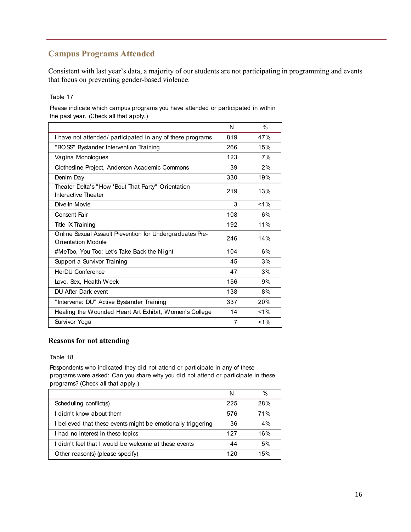# **Campus Programs Attended**

Consistent with last year's data, a majority of our students are not participating in programming and events that focus on preventing gender-based violence.

#### Table 17

Please indicate which campus programs you have attended or participated in within the past year. (Check all that apply.)

|                                                                                       | N   | $\%$    |
|---------------------------------------------------------------------------------------|-----|---------|
| I have not attended/ participated in any of these programs                            | 819 | 47%     |
| "BOSS" Bystander Intervention Training                                                | 266 | 15%     |
| Vagina Monologues                                                                     | 123 | 7%      |
| Clothesline Project, Anderson Academic Commons                                        | 39  | 2%      |
| Denim Day                                                                             | 330 | 19%     |
| Theater Delta's "How 'Bout That Party" Orientation<br>Interactive Theater             | 219 | 13%     |
| Dive-In Movie                                                                         | 3   | $< 1\%$ |
| Consent Fair                                                                          | 108 | 6%      |
| Title IX Training                                                                     | 192 | 11%     |
| Online Sexual Assault Prevention for Undergraduates Pre-<br><b>Orientation Module</b> | 246 | 14%     |
| #MeToo, You Too: Let's Take Back the Night                                            | 104 | 6%      |
| Support a Survivor Training                                                           | 45  | 3%      |
| <b>HerDU Conference</b>                                                               | 47  | 3%      |
| Love, Sex, Health Week                                                                | 156 | 9%      |
| DU After Dark event                                                                   | 138 | 8%      |
| "Intervene: DU" Active Bystander Training                                             | 337 | 20%     |
| Healing the Wounded Heart Art Exhibit, Women's College                                | 14  | $< 1\%$ |
| Survivor Yoga                                                                         | 7   | $< 1\%$ |

#### **Reasons for not attending**

#### Table 18

Respondents who indicated they did not attend or participate in any of these programs were asked: Can you share why you did not attend or participate in these programs? (Check all that apply.)

|                                                              | N   | $\%$ |
|--------------------------------------------------------------|-----|------|
| Scheduling conflict(s)                                       | 225 | 28%  |
| I didn't know about them                                     | 576 | 71%  |
| I believed that these events might be emotionally triggering | 36  | 4%   |
| I had no interest in these topics                            | 127 | 16%  |
| I didn't feel that I would be welcome at these events        | 44  | 5%   |
| Other reason(s) (please specify)                             | 120 | 15%  |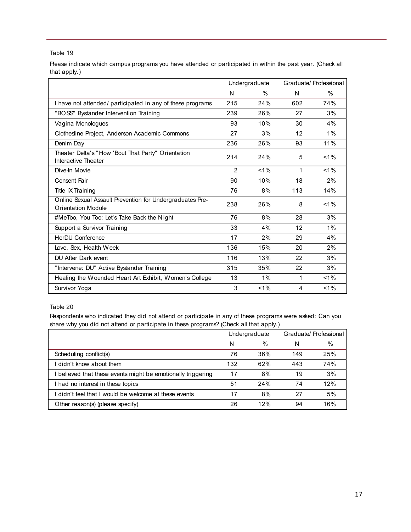Please indicate which campus programs you have attended or participated in within the past year. (Check all that apply.)

|                                                                                | Undergraduate |         | Graduate/ Professional |         |
|--------------------------------------------------------------------------------|---------------|---------|------------------------|---------|
|                                                                                | N             | $\%$    | N                      | $\%$    |
| I have not attended/ participated in any of these programs                     | 215           | 24%     | 602                    | 74%     |
| "BOSS" Bystander Intervention Training                                         | 239           | 26%     | 27                     | 3%      |
| Vagina Monologues                                                              | 93            | 10%     | 30                     | 4%      |
| Clothesline Project, Anderson Academic Commons                                 | 27            | 3%      | 12                     | $1\%$   |
| Denim Day                                                                      | 236           | 26%     | 93                     | 11%     |
| Theater Delta's "How 'Bout That Party" Orientation<br>Interactive Theater      | 214           | 24%     | 5                      | $< 1\%$ |
| Dive-In Movie                                                                  | $\mathcal{P}$ | $< 1\%$ | $\mathbf{1}$           | $< 1\%$ |
| Consent Fair                                                                   | 90            | 10%     | 18                     | 2%      |
| Title IX Training                                                              | 76            | 8%      | 113                    | 14%     |
| Online Sexual Assault Prevention for Undergraduates Pre-<br>Orientation Module | 238           | 26%     | 8                      | $< 1\%$ |
| #MeToo, You Too: Let's Take Back the Night                                     | 76            | 8%      | 28                     | 3%      |
| Support a Survivor Training                                                    | 33            | 4%      | 12                     | $1\%$   |
| <b>HerDU Conference</b>                                                        | 17            | 2%      | 29                     | 4%      |
| Love, Sex, Health Week                                                         | 136           | 15%     | 20                     | 2%      |
| DU After Dark event                                                            | 116           | 13%     | 22                     | 3%      |
| "Intervene: DU" Active Bystander Training                                      | 315           | 35%     | 22                     | 3%      |
| Healing the Wounded Heart Art Exhibit, Women's College                         | 13            | 1%      | 1                      | $< 1\%$ |
| Survivor Yoga                                                                  | 3             | $< 1\%$ | 4                      | $1\%$   |

#### Table 20

Respondents who indicated they did not attend or participate in any of these programs were asked: Can you share why you did not attend or participate in these programs? (Check all that apply.)

|                                                            | Undergraduate |      | Graduate/ Professional |      |
|------------------------------------------------------------|---------------|------|------------------------|------|
|                                                            | N             | $\%$ | N                      | $\%$ |
| Scheduling conflict(s)                                     | 76            | 36%  | 149                    | 25%  |
| didn't know about them                                     | 132           | 62%  | 443                    | 74%  |
| believed that these events might be emotionally triggering | 17            | 8%   | 19                     | 3%   |
| I had no interest in these topics                          | 51            | 24%  | 74                     | 12%  |
| I didn't feel that I would be welcome at these events      | 17            | 8%   | 27                     | 5%   |
| Other reason(s) (please specify)                           | 26            | 12%  | 94                     | 16%  |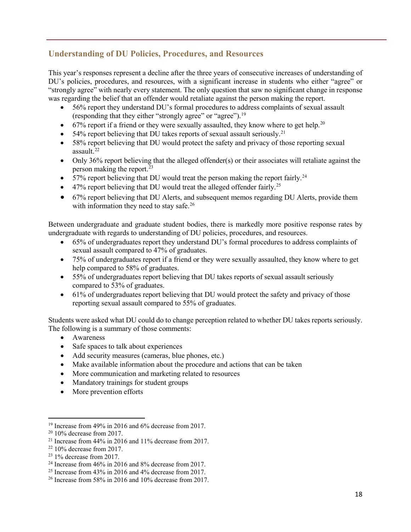# **Understanding of DU Policies, Procedures, and Resources**

This year's responses represent a decline after the three years of consecutive increases of understanding of DU's policies, procedures, and resources, with a significant increase in students who either "agree" or "strongly agree" with nearly every statement. The only question that saw no significant change in response was regarding the belief that an offender would retaliate against the person making the report.

- 56% report they understand DU's formal procedures to address complaints of sexual assault (responding that they either "strongly agree" or "agree").<sup>[19](#page-18-0)</sup>
- 67% report if a friend or they were sexually assaulted, they know where to get help.<sup>[20](#page-18-1)</sup>
- 54% report believing that DU takes reports of sexual assault seriously.<sup>[21](#page-18-2)</sup>
- 58% report believing that DU would protect the safety and privacy of those reporting sexual assault. $^{22}$  $^{22}$  $^{22}$
- Only 36% report believing that the alleged offender(s) or their associates will retaliate against the person making the report.<sup>[23](#page-18-4)</sup>
- 57% report believing that DU would treat the person making the report fairly.<sup>[24](#page-18-5)</sup>
- 47% report believing that DU would treat the alleged offender fairly.<sup>[25](#page-18-6)</sup>
- 67% report believing that DU Alerts, and subsequent memos regarding DU Alerts, provide them with information they need to stay safe.<sup>[26](#page-18-7)</sup>

Between undergraduate and graduate student bodies, there is markedly more positive response rates by undergraduate with regards to understanding of DU policies, procedures, and resources.

- 65% of undergraduates report they understand DU's formal procedures to address complaints of sexual assault compared to 47% of graduates.
- 75% of undergraduates report if a friend or they were sexually assaulted, they know where to get help compared to 58% of graduates.
- 55% of undergraduates report believing that DU takes reports of sexual assault seriously compared to 53% of graduates.
- 61% of undergraduates report believing that DU would protect the safety and privacy of those reporting sexual assault compared to 55% of graduates.

Students were asked what DU could do to change perception related to whether DU takes reports seriously. The following is a summary of those comments:

- Awareness
- Safe spaces to talk about experiences
- Add security measures (cameras, blue phones, etc.)
- Make available information about the procedure and actions that can be taken
- More communication and marketing related to resources
- Mandatory trainings for student groups
- More prevention efforts

l

<span id="page-18-0"></span><sup>&</sup>lt;sup>19</sup> Increase from 49% in 2016 and  $6\%$  decrease from 2017.

<span id="page-18-1"></span> $2010\%$  decrease from 2017.

<span id="page-18-3"></span><span id="page-18-2"></span><sup>&</sup>lt;sup>21</sup> Increase from 44% in 2016 and 11% decrease from 2017.<br><sup>22</sup> 10% decrease from 2017.

<span id="page-18-5"></span><span id="page-18-4"></span> $^{23}$  1% decrease from 2017.<br><sup>24</sup> Increase from 46% in 2016 and 8% decrease from 2017.

<span id="page-18-6"></span><sup>&</sup>lt;sup>25</sup> Increase from 43% in 2016 and 4% decrease from 2017.

<span id="page-18-7"></span><sup>26</sup> Increase from 58% in 2016 and 10% decrease from 2017.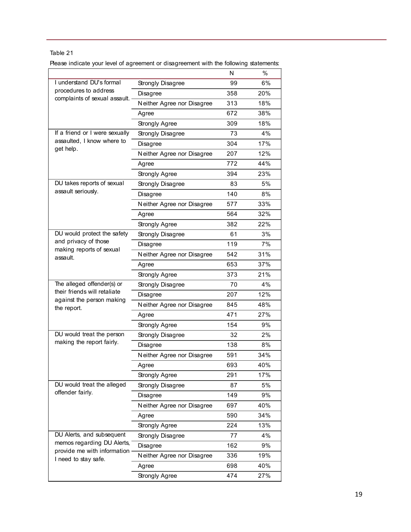Please indicate your level of agreement or disagreement with the following statements:

|                                                              |                            | N   | %   |
|--------------------------------------------------------------|----------------------------|-----|-----|
| I understand DU's formal                                     | Strongly Disagree          | 99  | 6%  |
| procedures to address                                        | Disagree                   | 358 | 20% |
| complaints of sexual assault.                                | Neither Agree nor Disagree | 313 | 18% |
|                                                              | Agree                      | 672 | 38% |
|                                                              | Strongly Agree             | 309 | 18% |
| If a friend or I were sexually                               | Strongly Disagree          | 73  | 4%  |
| assaulted, I know where to                                   | Disagree                   | 304 | 17% |
| get help.                                                    | Neither Agree nor Disagree | 207 | 12% |
|                                                              | Agree                      | 772 | 44% |
|                                                              | Strongly Agree             | 394 | 23% |
| DU takes reports of sexual                                   | Strongly Disagree          | 83  | 5%  |
| assault seriously.                                           | Disagree                   | 140 | 8%  |
|                                                              | Neither Agree nor Disagree | 577 | 33% |
|                                                              | Agree                      | 564 | 32% |
|                                                              | Strongly Agree             | 382 | 22% |
| DU would protect the safety                                  | Strongly Disagree          | 61  | 3%  |
| and privacy of those<br>making reports of sexual<br>assault. | Disagree                   | 119 | 7%  |
|                                                              | Neither Agree nor Disagree | 542 | 31% |
|                                                              | Agree                      | 653 | 37% |
|                                                              | Strongly Agree             | 373 | 21% |
| The alleged offender(s) or                                   | Strongly Disagree          | 70  | 4%  |
| their friends will retaliate                                 | Disagree                   | 207 | 12% |
| against the person making<br>the report.                     | Neither Agree nor Disagree | 845 | 48% |
|                                                              | Agree                      | 471 | 27% |
|                                                              | Strongly Agree             | 154 | 9%  |
| DU would treat the person                                    | Strongly Disagree          | 32  | 2%  |
| making the report fairly.                                    | Disagree                   | 138 | 8%  |
|                                                              | Neither Agree nor Disagree | 591 | 34% |
|                                                              | Agree                      | 693 | 40% |
|                                                              | Strongly Agree             | 291 | 17% |
| DU would treat the alleged                                   | Strongly Disagree          | 87  | 5%  |
| offender fairly.                                             | Disagree                   | 149 | 9%  |
|                                                              | Neither Agree nor Disagree | 697 | 40% |
|                                                              | Agree                      | 590 | 34% |
|                                                              | Strongly Agree             | 224 | 13% |
| DU Alerts, and subsequent                                    | Strongly Disagree          | 77  | 4%  |
| memos regarding DU Alerts,<br>provide me with information    | Disagree                   | 162 | 9%  |
| I need to stay safe.                                         | Neither Agree nor Disagree | 336 | 19% |
|                                                              | Agree                      | 698 | 40% |
|                                                              | Strongly Agree             | 474 | 27% |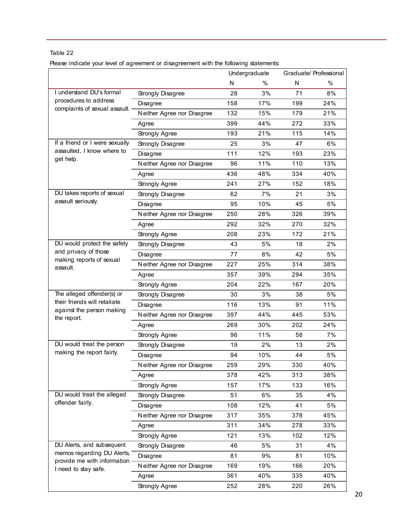Please indicate your level of agreement or disagreement with the following statements:

|                                                     |                            |     | Undergraduate |     | Graduate/ Professional |
|-----------------------------------------------------|----------------------------|-----|---------------|-----|------------------------|
|                                                     |                            | N   | %             | N   | $\%$                   |
| I understand DU's formal                            | Strongly Disagree          | 28  | 3%            | 71  | 8%                     |
| procedures to address                               | Disagree                   | 158 | 17%           | 199 | 24%                    |
| complaints of sexual assault.                       | Neither Agree nor Disagree | 132 | 15%           | 179 | 21%                    |
|                                                     | Agree                      | 399 | 44%           | 272 | 33%                    |
|                                                     | Strongly Agree             | 193 | 21%           | 115 | 14%                    |
| If a friend or I were sexually                      | Strongly Disagree          | 25  | 3%            | 47  | 6%                     |
| assaulted, I know where to                          | Disagree                   | 111 | 12%           | 193 | 23%                    |
| get help.                                           | Neither Agree nor Disagree | 96  | 11%           | 110 | 13%                    |
|                                                     | Agree                      | 436 | 48%           | 334 | 40%                    |
|                                                     | Strongly Agree             | 241 | 27%           | 152 | 18%                    |
| DU takes reports of sexual                          | Strongly Disagree          | 62  | 7%            | 21  | 3%                     |
| assault seriously.                                  | Disagree                   | 95  | 10%           | 45  | 5%                     |
|                                                     | Neither Agree nor Disagree | 250 | 28%           | 326 | 39%                    |
|                                                     | Agree                      | 292 | 32%           | 270 | 32%                    |
|                                                     | Strongly Agree             | 208 | 23%           | 172 | 21%                    |
| DU would protect the safety                         | Strongly Disagree          | 43  | 5%            | 18  | 2%                     |
| and privacy of those                                | Disagree                   | 77  | 8%            | 42  | 5%                     |
| making reports of sexual<br>assault.                | Neither Agree nor Disagree | 227 | 25%           | 314 | 38%                    |
|                                                     | Agree                      | 357 | 39%           | 294 | 35%                    |
|                                                     | Strongly Agree             | 204 | 22%           | 167 | 20%                    |
| The alleged offender(s) or                          | Strongly Disagree          | 30  | 3%            | 38  | 5%                     |
| their friends will retaliate                        | Disagree                   | 116 | 13%           | 91  | 11%                    |
| against the person making<br>the report.            | Neither Agree nor Disagree | 397 | 44%           | 445 | 53%                    |
|                                                     | Agree                      | 269 | 30%           | 202 | 24%                    |
|                                                     | Strongly Agree             | 96  | 11%           | 58  | 7%                     |
| DU would treat the person                           | Strongly Disagree          | 19  | 2%            | 13  | 2%                     |
| making the report fairly.                           | Disagree                   | 94  | 10%           | 44  | 5%                     |
|                                                     | Neither Agree nor Disagree | 259 | 29%           | 330 | 40%                    |
|                                                     | Agree                      | 378 | 42%           | 313 | 38%                    |
|                                                     | Strongly Agree             | 157 | 17%           | 133 | 16%                    |
| DU would treat the alleged                          | Strongly Disagree          | 51  | 6%            | 35  | 4%                     |
| offender fairly.                                    | Disagree                   | 108 | 12%           | 41  | 5%                     |
|                                                     | Neither Agree nor Disagree | 317 | 35%           | 378 | 45%                    |
|                                                     | Agree                      | 311 | 34%           | 278 | 33%                    |
|                                                     | Strongly Agree             | 121 | 13%           | 102 | 12%                    |
| DU Alerts, and subsequent                           | Strongly Disagree          | 46  | 5%            | 31  | 4%                     |
| memos regarding DU Alerts,                          | Disagree                   | 81  | 9%            | 81  | 10%                    |
| provide me with information<br>I need to stay safe. | Neither Agree nor Disagree | 169 | 19%           | 166 | 20%                    |
|                                                     | Agree                      | 361 | 40%           | 335 | 40%                    |
|                                                     |                            |     |               |     |                        |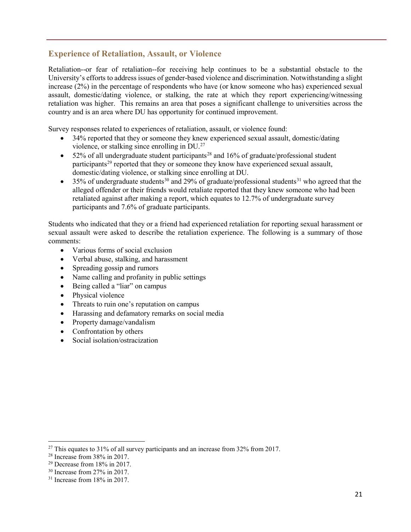# **Experience of Retaliation, Assault, or Violence**

Retaliation--or fear of retaliation--for receiving help continues to be a substantial obstacle to the University's efforts to address issues of gender-based violence and discrimination. Notwithstanding a slight increase (2%) in the percentage of respondents who have (or know someone who has) experienced sexual assault, domestic/dating violence, or stalking, the rate at which they report experiencing/witnessing retaliation was higher. This remains an area that poses a significant challenge to universities across the country and is an area where DU has opportunity for continued improvement.

Survey responses related to experiences of retaliation, assault, or violence found:

- 34% reported that they or someone they knew experienced sexual assault, domestic/dating violence, or stalking since enrolling in DU.[27](#page-21-0)
- 52% of all undergraduate student participants<sup>[28](#page-21-1)</sup> and 16% of graduate/professional student participants<sup>[29](#page-21-2)</sup> reported that they or someone they know have experienced sexual assault, domestic/dating violence, or stalking since enrolling at DU.
- 35% of undergraduate students<sup>[30](#page-21-3)</sup> and 29% of graduate/professional students<sup>[31](#page-21-4)</sup> who agreed that the alleged offender or their friends would retaliate reported that they knew someone who had been retaliated against after making a report, which equates to 12.7% of undergraduate survey participants and 7.6% of graduate participants.

Students who indicated that they or a friend had experienced retaliation for reporting sexual harassment or sexual assault were asked to describe the retaliation experience. The following is a summary of those comments:

- Various forms of social exclusion
- Verbal abuse, stalking, and harassment
- Spreading gossip and rumors
- Name calling and profanity in public settings
- Being called a "liar" on campus
- Physical violence
- Threats to ruin one's reputation on campus
- Harassing and defamatory remarks on social media
- Property damage/vandalism
- Confrontation by others
- Social isolation/ostracization

 $\overline{\phantom{a}}$ 

<span id="page-21-0"></span> $^{27}$  This equates to 31% of all survey participants and an increase from 32% from 2017.

<span id="page-21-1"></span><sup>28</sup> Increase from 38% in 2017.

<span id="page-21-2"></span> $29$  Decrease from 18% in 2017.

<span id="page-21-3"></span> $30$  Increase from 27% in 2017.

<span id="page-21-4"></span><sup>&</sup>lt;sup>31</sup> Increase from 18% in 2017.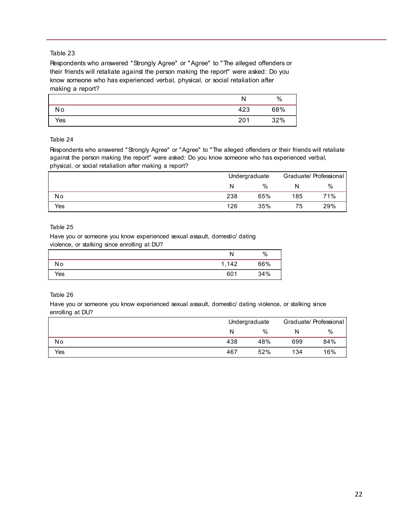Respondents who answered "Strongly Agree" or "Agree" to "The alleged offenders or their friends will retaliate against the person making the report" were asked: Do you know someone who has experienced verbal, physical, or social retaliation after making a report?

|     | N   | $\%$ |
|-----|-----|------|
| No  | 423 | 68%  |
| Yes | 201 | 32%  |

#### Table 24

Respondents who answered "Strongly Agree" or "Agree" to "The alleged offenders or their friends will retaliate against the person making the report" were asked: Do you know someone who has experienced verbal, physical, or social retaliation after making a report?

|     |     | Undergraduate |     | Graduate/ Professional |  |
|-----|-----|---------------|-----|------------------------|--|
|     | N   | %             | N   | $\%$                   |  |
| Νo  | 238 | 65%           | 185 | 71%                    |  |
| Yes | 126 | 35%           | 75  | 29%                    |  |

#### Table 25

Have you or someone you know experienced sexual assault, domestic/ dating violence, or stalking since enrolling at DU?

|     | N         | $\%$ |
|-----|-----------|------|
| No  | 142<br>-1 | 66%  |
| Yes | 601       | 34%  |

#### Table 26

Have you or someone you know experienced sexual assault, domestic/ dating violence, or stalking since enrolling at DU?

|     |     | Undergraduate |     | Graduate/ Professional |
|-----|-----|---------------|-----|------------------------|
|     | N   | $\%$          | N   | $\%$                   |
| No  | 438 | 48%           | 699 | 84%                    |
| Yes | 467 | 52%           | 134 | 16%                    |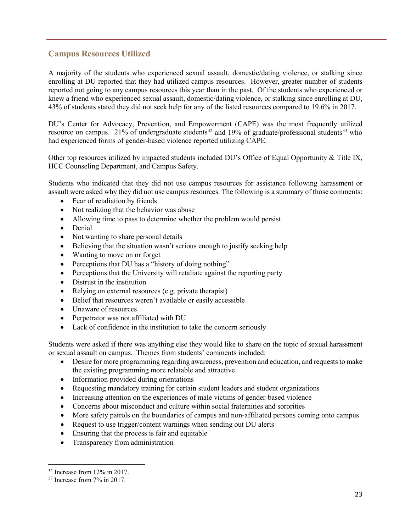# **Campus Resources Utilized**

A majority of the students who experienced sexual assault, domestic/dating violence, or stalking since enrolling at DU reported that they had utilized campus resources. However, greater number of students reported not going to any campus resources this year than in the past. Of the students who experienced or knew a friend who experienced sexual assault, domestic/dating violence, or stalking since enrolling at DU, 43% of students stated they did not seek help for any of the listed resources compared to 19.6% in 2017.

DU's Center for Advocacy, Prevention, and Empowerment (CAPE) was the most frequently utilized resource on campus. 21% of undergraduate students<sup>[32](#page-23-0)</sup> and 19% of graduate/professional students<sup>33</sup> who had experienced forms of gender-based violence reported utilizing CAPE.

Other top resources utilized by impacted students included DU's Office of Equal Opportunity & Title IX, HCC Counseling Department, and Campus Safety.

Students who indicated that they did not use campus resources for assistance following harassment or assault were asked why they did not use campus resources. The following is a summary of those comments:

- Fear of retaliation by friends
- Not realizing that the behavior was abuse
- Allowing time to pass to determine whether the problem would persist
- Denial
- Not wanting to share personal details
- Believing that the situation wasn't serious enough to justify seeking help
- Wanting to move on or forget
- Perceptions that DU has a "history of doing nothing"
- Perceptions that the University will retaliate against the reporting party
- Distrust in the institution
- Relying on external resources (e.g. private therapist)
- Belief that resources weren't available or easily accessible
- Unaware of resources
- Perpetrator was not affiliated with DU
- Lack of confidence in the institution to take the concern seriously

Students were asked if there was anything else they would like to share on the topic of sexual harassment or sexual assault on campus. Themes from students' comments included:

- Desire for more programming regarding awareness, prevention and education, and requests to make the existing programming more relatable and attractive
- Information provided during orientations
- Requesting mandatory training for certain student leaders and student organizations
- Increasing attention on the experiences of male victims of gender-based violence
- Concerns about misconduct and culture within social fraternities and sororities
- More safety patrols on the boundaries of campus and non-affiliated persons coming onto campus
- Request to use trigger/content warnings when sending out DU alerts
- Ensuring that the process is fair and equitable
- Transparency from administration

l

<span id="page-23-0"></span><sup>32</sup> Increase from 12% in 2017.

<span id="page-23-1"></span><sup>33</sup> Increase from 7% in 2017.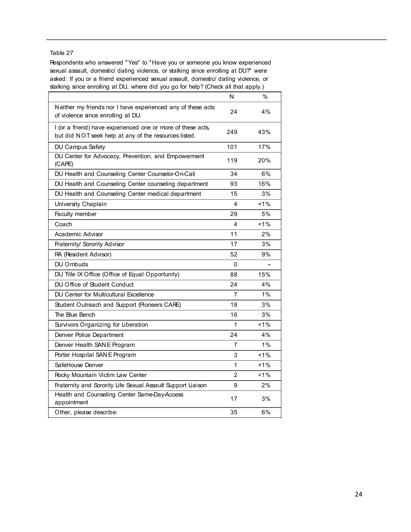Respondents who answered "Yes" to "Have you or someone you know experienced sexual assault, domestic/ dating violence, or stalking since enrolling at DU?" were asked: If you or a friend experienced sexual assault, domestic/ dating violence, or stalking since enrolling at DU, where did you go for help? (Check all that apply.)

|                                                                                                                      | N              | $\%$  |
|----------------------------------------------------------------------------------------------------------------------|----------------|-------|
| Neither my friends nor I have experienced any of these acts<br>of violence since enrolling at DU.                    | 24             | 4%    |
| I (or a friend) have experienced one or more of these acts,<br>but did NOT seek help at any of the resources listed. | 249            | 43%   |
| DU Campus Safety                                                                                                     | 101            | 17%   |
| DU Center for Advocacy, Prevention, and Empowerment<br>(CAPE)                                                        | 119            | 20%   |
| DU Health and Counseling Center Counselor-On-Call                                                                    | 34             | 6%    |
| DU Health and Counseling Center counseling department                                                                | 93             | 16%   |
| DU Health and Counseling Center medical department                                                                   | 15             | 3%    |
| University Chaplain                                                                                                  | 4              | $1\%$ |
| Faculty member                                                                                                       | 29             | 5%    |
| Coach                                                                                                                | 4              | $1\%$ |
| Academic Advisor                                                                                                     | 11             | 2%    |
| Fraternity/ Sorority Advisor                                                                                         | 17             | 3%    |
| RA (Resident Advisor)                                                                                                | 52             | 9%    |
| DU Ombuds                                                                                                            | 0              |       |
| DU Title IX Office (Office of Equal Opportunity)                                                                     | 88             | 15%   |
| DU Office of Student Conduct                                                                                         | 24             | 4%    |
| DU Center for Multicultural Excellence                                                                               | 7              | 1%    |
| Student Outreach and Support (Pioneers CARE)                                                                         | 18             | 3%    |
| The Blue Bench                                                                                                       | 16             | 3%    |
| Survivors Organizing for Liberation                                                                                  | 1              | $1\%$ |
| Denver Police Department                                                                                             | 24             | 4%    |
| Denver Health SAN E Program                                                                                          | 7              | 1%    |
| Porter Hospital SAN E Program                                                                                        | 3              | 1%    |
| SafeHouse Denver                                                                                                     | 1              | $1\%$ |
| Rocky Mountain Victim Law Center                                                                                     | $\overline{2}$ | $1\%$ |
| Fraternity and Sorority Life Sexual Assault Support Liaison                                                          | 9              | 2%    |
| Health and Counseling Center Same-Day-Access<br>appointment                                                          | 17             | 3%    |
| Other, please describe:                                                                                              | 35             | 6%    |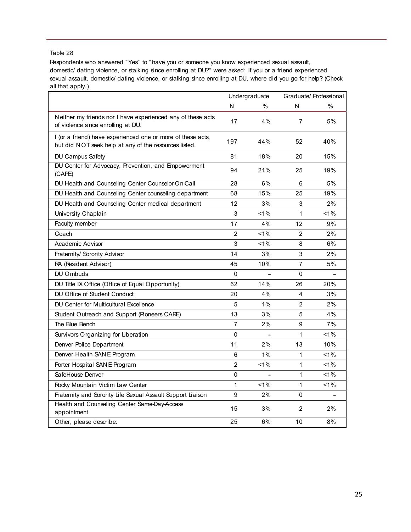Respondents who answered "Yes" to "have you or someone you know experienced sexual assault, domestic/ dating violence, or stalking since enrolling at DU?" were asked: If you or a friend experienced sexual assault, domestic/ dating violence, or stalking since enrolling at DU, where did you go for help? (Check all that apply.)

|                                                                                                                      | Undergraduate  |         |                | Graduate/ Professional |
|----------------------------------------------------------------------------------------------------------------------|----------------|---------|----------------|------------------------|
|                                                                                                                      | N              | $\%$    | N              | $\frac{0}{0}$          |
| Neither my friends nor I have experienced any of these acts<br>of violence since enrolling at DU.                    | 17             | 4%      | $\overline{7}$ | 5%                     |
| I (or a friend) have experienced one or more of these acts,<br>but did NOT seek help at any of the resources listed. | 197            | 44%     | 52             | 40%                    |
| DU Campus Safety                                                                                                     | 81             | 18%     | 20             | 15%                    |
| DU Center for Advocacy, Prevention, and Empowerment<br>(CAPE)                                                        | 94             | 21%     | 25             | 19%                    |
| DU Health and Counseling Center Counselor-On-Call                                                                    | 28             | 6%      | 6              | 5%                     |
| DU Health and Counseling Center counseling department                                                                | 68             | 15%     | 25             | 19%                    |
| DU Health and Counseling Center medical department                                                                   | 12             | 3%      | 3              | 2%                     |
| University Chaplain                                                                                                  | 3              | $< 1\%$ | $\mathbf{1}$   | $1\%$                  |
| Faculty member                                                                                                       | 17             | 4%      | 12             | 9%                     |
| Coach                                                                                                                | $\overline{2}$ | $< 1\%$ | 2              | 2%                     |
| Academic Advisor                                                                                                     | 3              | 1%      | 8              | 6%                     |
| Fraternity/ Sorority Advisor                                                                                         | 14             | 3%      | 3              | 2%                     |
| RA (Resident Advisor)                                                                                                | 45             | 10%     | $\overline{7}$ | 5%                     |
| DU Ombuds                                                                                                            | $\Omega$       |         | $\Omega$       |                        |
| DU Title IX Office (Office of Equal Opportunity)                                                                     | 62             | 14%     | 26             | 20%                    |
| DU Office of Student Conduct                                                                                         | 20             | 4%      | 4              | 3%                     |
| DU Center for Multicultural Excellence                                                                               | 5              | 1%      | 2              | 2%                     |
| Student Outreach and Support (Pioneers CARE)                                                                         | 13             | 3%      | 5              | 4%                     |
| The Blue Bench                                                                                                       | 7              | 2%      | 9              | 7%                     |
| Survivors Organizing for Liberation                                                                                  | 0              |         | $\mathbf{1}$   | 1%                     |
| Denver Police Department                                                                                             | 11             | 2%      | 13             | 10%                    |
| Denver Health SAN E Program                                                                                          | 6              | 1%      | 1              | 1%                     |
| Porter Hospital SAN E Program                                                                                        | $\overline{2}$ | $< 1\%$ | $\mathbf{1}$   | $1\%$                  |
| SafeHouse Denver                                                                                                     | 0              |         | $\mathbf{1}$   | $1\%$                  |
| Rocky Mountain Victim Law Center                                                                                     | $\mathbf{1}$   | $< 1\%$ | $\mathbf{1}$   | 1%                     |
| Fraternity and Sorority Life Sexual Assault Support Liaison                                                          | 9              | 2%      | $\Omega$       |                        |
| Health and Counseling Center Same-Day-Access<br>appointment                                                          | 15             | 3%      | $\overline{2}$ | 2%                     |
| Other, please describe:                                                                                              | 25             | 6%      | 10             | 8%                     |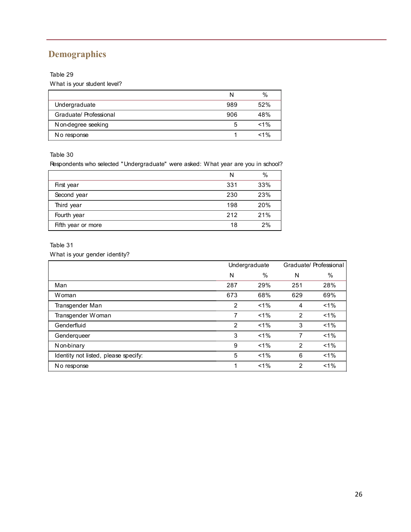# **Demographics**

## Table 29

What is your student level?

|                        |     | $\%$    |
|------------------------|-----|---------|
| Undergraduate          | 989 | 52%     |
| Graduate/ Professional | 906 | 48%     |
| Non-degree seeking     | 5   | $< 1\%$ |
| No response            |     | $< 1\%$ |

#### Table 30

Respondents who selected "Undergraduate" were asked: What year are you in school?

|                    | N   | $\frac{0}{0}$ |
|--------------------|-----|---------------|
| First year         | 331 | 33%           |
| Second year        | 230 | 23%           |
| Third year         | 198 | 20%           |
| Fourth year        | 212 | 21%           |
| Fifth year or more | 18  | 2%            |

#### Table 31

What is your gender identity?

|                                      | Undergraduate  |               |               | Graduate/ Professional |
|--------------------------------------|----------------|---------------|---------------|------------------------|
|                                      | N              | $\frac{0}{0}$ | N             | $\frac{0}{0}$          |
| Man                                  | 287            | 29%           | 251           | 28%                    |
| Woman                                | 673            | 68%           | 629           | 69%                    |
| Transgender Man                      | 2              | $< 1\%$       | 4             | $1\%$                  |
| Transgender Woman                    | 7              | $< 1\%$       | $\mathcal{P}$ | $< 1\%$                |
| Genderfluid                          | $\mathfrak{p}$ | $< 1\%$       | 3             | $1\%$                  |
| Genderqueer                          | 3              | $< 1\%$       | 7             | $< 1\%$                |
| N on-binary                          | 9              | $< 1\%$       | $\mathcal{P}$ | $1\%$                  |
| Identity not listed, please specify: | 5              | $1\%$         | 6             | $1\%$                  |
| No response                          | 1              | $< 1\%$       | 2             | $< 1\%$                |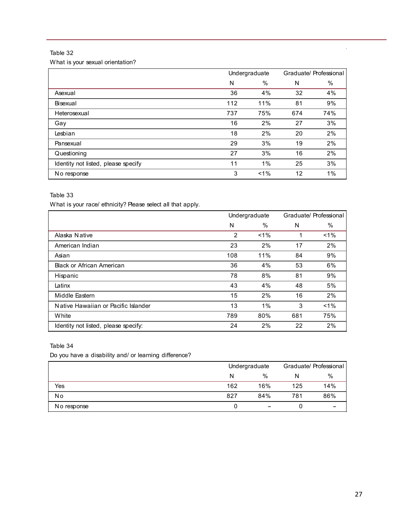What is your sexual orientation?

|                                     | Undergraduate |       |     | Graduate/ Professional |
|-------------------------------------|---------------|-------|-----|------------------------|
|                                     | N             | $\%$  | N   | $\%$                   |
| Asexual                             | 36            | 4%    | 32  | 4%                     |
| Bisexual                            | 112           | 11%   | 81  | 9%                     |
| Heterosexual                        | 737           | 75%   | 674 | 74%                    |
| Gay                                 | 16            | 2%    | 27  | 3%                     |
| Lesbian                             | 18            | 2%    | 20  | 2%                     |
| Pansexual                           | 29            | 3%    | 19  | 2%                     |
| Questioning                         | 27            | 3%    | 16  | 2%                     |
| Identity not listed, please specify | 11            | 1%    | 25  | 3%                     |
| No response                         | 3             | $1\%$ | 12  | $1\%$                  |

#### Table 33

What is your race/ ethnicity? Please select all that apply.

|                                      | Undergraduate |         |     | Graduate/ Professional |
|--------------------------------------|---------------|---------|-----|------------------------|
|                                      | N             | %       | N   | $\%$                   |
| Alaska Native                        | 2             | $< 1\%$ | 1   | $1\%$                  |
| American Indian                      | 23            | 2%      | 17  | 2%                     |
| Asian                                | 108           | 11%     | 84  | 9%                     |
| <b>Black or African American</b>     | 36            | 4%      | 53  | 6%                     |
| Hispanic                             | 78            | 8%      | 81  | 9%                     |
| Latinx                               | 43            | 4%      | 48  | 5%                     |
| Middle Eastern                       | 15            | 2%      | 16  | 2%                     |
| Native Hawaiian or Pacific Islander  | 13            | $1\%$   | 3   | $< 1\%$                |
| <b>White</b>                         | 789           | 80%     | 681 | 75%                    |
| Identity not listed, please specify: | 24            | 2%      | 22  | 2%                     |

#### Table 34

Do you have a disability and/ or learning difference?

|             |     | Undergraduate |     | Graduate/ Professional |  |
|-------------|-----|---------------|-----|------------------------|--|
|             | N   | $\%$          | N   | %                      |  |
| Yes         | 162 | 16%           | 125 | 14%                    |  |
| No          | 827 | 84%           | 781 | 86%                    |  |
| No response |     |               |     |                        |  |

l,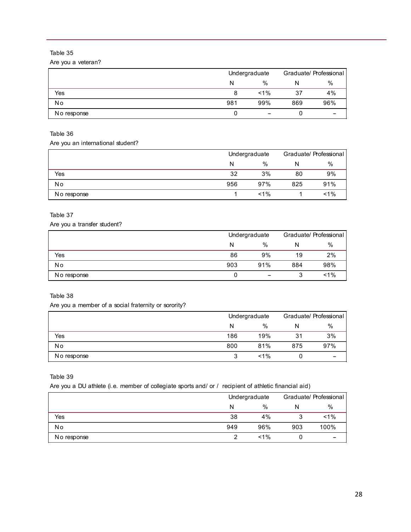Are you a veteran?

|             |     | Undergraduate |     | Graduate/ Professional |  |
|-------------|-----|---------------|-----|------------------------|--|
|             | N   | $\%$          | N   | %                      |  |
| Yes         | 8   | $< 1\%$       | 37  | 4%                     |  |
| <b>No</b>   | 981 | 99%           | 869 | 96%                    |  |
| No response |     | -             |     |                        |  |

## Table 36

Are you an international student?

|             |     | Undergraduate |     | Graduate/ Professional |  |
|-------------|-----|---------------|-----|------------------------|--|
|             | N   | $\%$          | N   | %                      |  |
| Yes         | 32  | 3%            | 80  | 9%                     |  |
| No          | 956 | 97%           | 825 | 91%                    |  |
| No response |     | $< 1\%$       |     | $1\%$                  |  |

#### Table 37

Are you a transfer student?

|             |     | Undergraduate            |     | Graduate/ Professional |  |
|-------------|-----|--------------------------|-----|------------------------|--|
|             | N   | $\%$                     | N   | %                      |  |
| Yes         | 86  | 9%                       | 19  | 2%                     |  |
| No          | 903 | 91%                      | 884 | 98%                    |  |
| No response |     | $\overline{\phantom{a}}$ |     | $< 1\%$                |  |

#### Table 38

Are you a member of a social fraternity or sorority?

|             |     | Undergraduate |     | Graduate/ Professional |  |
|-------------|-----|---------------|-----|------------------------|--|
|             | N   | %             | N   | %                      |  |
| Yes         | 186 | 19%           | 31  | 3%                     |  |
| No          | 800 | 81%           | 875 | 97%                    |  |
| No response |     | $< 1\%$       |     |                        |  |

Table 39

Are you a DU athlete (i.e. member of collegiate sports and/ or / recipient of athletic financial aid)

|             |     | Undergraduate |     | Graduate/ Professional |  |
|-------------|-----|---------------|-----|------------------------|--|
|             | N   | %             |     | $\%$                   |  |
| Yes         | 38  | 4%            |     | $< 1\%$                |  |
| No          | 949 | 96%           | 903 | 100%                   |  |
| No response |     | $< 1\%$       |     |                        |  |